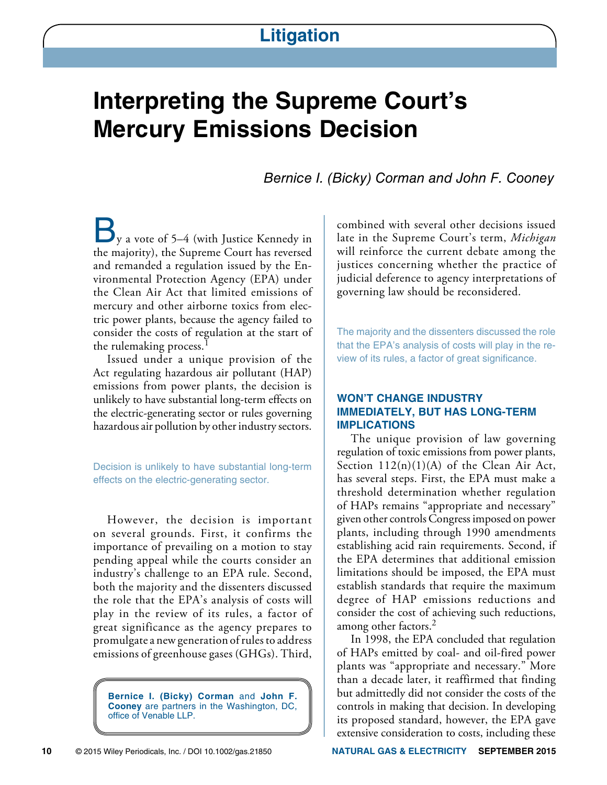# **Litigation**

# **Interpreting the Supreme Court's Mercury Emissions Decision**

*Bernice I. (Bicky) Corman and John F. Cooney*

By a vote of 5–4 (with Justice Kennedy in the majority), the Supreme Court has reversed and remanded a regulation issued by the Environmental Protection Agency (EPA) under the Clean Air Act that limited emissions of mercury and other airborne toxics from electric power plants, because the agency failed to consider the costs of regulation at the start of the rulemaking process. $<sup>1</sup>$ </sup>

Issued under a unique provision of the Act regulating hazardous air pollutant (HAP) emissions from power plants, the decision is unlikely to have substantial long-term effects on the electric-generating sector or rules governing hazardous air pollution by other industry sectors.

Decision is unlikely to have substantial long-term effects on the electric-generating sector.

However, the decision is important on several grounds. First, it confirms the importance of prevailing on a motion to stay pending appeal while the courts consider an industry's challenge to an EPA rule. Second, both the majority and the dissenters discussed the role that the EPA's analysis of costs will play in the review of its rules, a factor of great significance as the agency prepares to promulgate a new generation of rules to address emissions of greenhouse gases (GHGs). Third,

**Bernice I. (Bicky) Corman** and **John F. Cooney** are partners in the Washington, DC, office of Venable LLP.

combined with several other decisions issued late in the Supreme Court's term, *Michigan* will reinforce the current debate among the justices concerning whether the practice of judicial deference to agency interpretations of governing law should be reconsidered.

The majority and the dissenters discussed the role that the EPA's analysis of costs will play in the review of its rules, a factor of great significance.

## **WON'T CHANGE INDUSTRY IMMEDIATELY, BUT HAS LONG-TERM IMPLICATIONS**

The unique provision of law governing regulation of toxic emissions from power plants, Section  $112(n)(1)(A)$  of the Clean Air Act, has several steps. First, the EPA must make a threshold determination whether regulation of HAPs remains "appropriate and necessary" given other controls Congress imposed on power plants, including through 1990 amendments establishing acid rain requirements. Second, if the EPA determines that additional emission limitations should be imposed, the EPA must establish standards that require the maximum degree of HAP emissions reductions and consider the cost of achieving such reductions, among other factors.<sup>2</sup>

In 1998, the EPA concluded that regulation of HAPs emitted by coal- and oil-fired power plants was "appropriate and necessary." More than a decade later, it reaffirmed that finding but admittedly did not consider the costs of the controls in making that decision. In developing its proposed standard, however, the EPA gave extensive consideration to costs, including these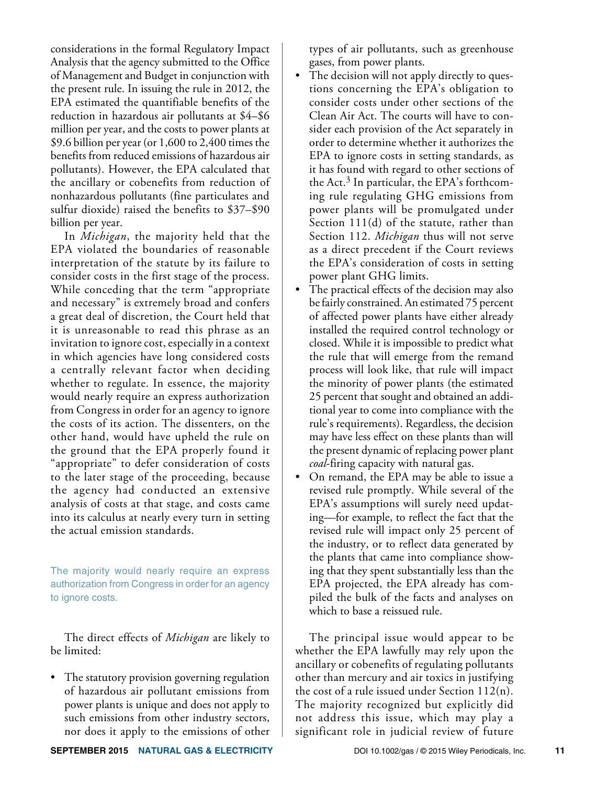considerations in the formal Regulatory Impact Analysis that the agency submitted to the Office of Management and Budget in conjunction with the present rule. In issuing the rule in 2012, the EPA estimated the quantifiable benefits of the reduction in hazardous air pollutants at \$4–\$6 million per year, and the costs to power plants at \$9.6 billion per year (or 1,600 to 2,400 times the benefits from reduced emissions of hazardous air pollutants). However, the EPA calculated that the ancillary or cobenefits from reduction of nonhazardous pollutants (fine particulates and sulfur dioxide) raised the benefits to \$37–\$90 billion per year.

In *Michigan*, the majority held that the EPA violated the boundaries of reasonable interpretation of the statute by its failure to consider costs in the first stage of the process. While conceding that the term "appropriate and necessary" is extremely broad and confers a great deal of discretion, the Court held that it is unreasonable to read this phrase as an invitation to ignore cost, especially in a context in which agencies have long considered costs a centrally relevant factor when deciding whether to regulate. In essence, the majority would nearly require an express authorization from Congress in order for an agency to ignore the costs of its action. The dissenters, on the other hand, would have upheld the rule on the ground that the EPA properly found it "appropriate" to defer consideration of costs to the later stage of the proceeding, because the agency had conducted an extensive analysis of costs at that stage, and costs came into its calculus at nearly every turn in setting the actual emission standards.

The majority would nearly require an express authorization from Congress in order for an agency to ignore costs.

The direct effects of *Michigan* are likely to be limited:

• The statutory provision governing regulation of hazardous air pollutant emissions from power plants is unique and does not apply to such emissions from other industry sectors, nor does it apply to the emissions of other types of air pollutants, such as greenhouse gases, from power plants.

- The decision will not apply directly to questions concerning the EPA's obligation to consider costs under other sections of the Clean Air Act. The courts will have to consider each provision of the Act separately in order to determine whether it authorizes the EPA to ignore costs in setting standards, as it has found with regard to other sections of the Act.<sup>3</sup> In particular, the EPA's forthcoming rule regulating GHG emissions from power plants will be promulgated under Section 111(d) of the statute, rather than Section 112. *Michigan* thus will not serve as a direct precedent if the Court reviews the EPA's consideration of costs in setting power plant GHG limits.
- The practical effects of the decision may also be fairly constrained. An estimated 75 percent of affected power plants have either already installed the required control technology or closed. While it is impossible to predict what the rule that will emerge from the remand process will look like, that rule will impact the minority of power plants (the estimated 25 percent that sought and obtained an additional year to come into compliance with the rule's requirements). Regardless, the decision may have less effect on these plants than will the present dynamic of replacing power plant *coal*-firing capacity with natural gas.
- On remand, the EPA may be able to issue a revised rule promptly. While several of the EPA's assumptions will surely need updating—for example, to reflect the fact that the revised rule will impact only 25 percent of the industry, or to reflect data generated by the plants that came into compliance showing that they spent substantially less than the EPA projected, the EPA already has compiled the bulk of the facts and analyses on which to base a reissued rule.

The principal issue would appear to be whether the EPA lawfully may rely upon the ancillary or cobenefits of regulating pollutants other than mercury and air toxics in justifying the cost of a rule issued under Section 112(n). The majority recognized but explicitly did not address this issue, which may play a significant role in judicial review of future